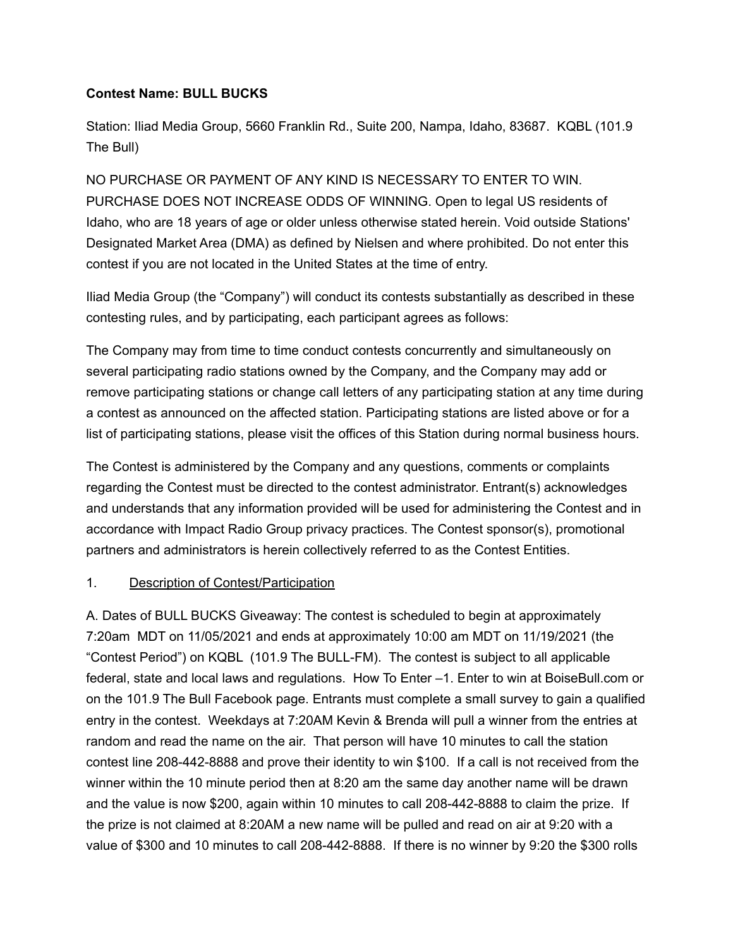## **Contest Name: BULL BUCKS**

Station: Iliad Media Group, 5660 Franklin Rd., Suite 200, Nampa, Idaho, 83687. KQBL (101.9 The Bull)

NO PURCHASE OR PAYMENT OF ANY KIND IS NECESSARY TO ENTER TO WIN. PURCHASE DOES NOT INCREASE ODDS OF WINNING. Open to legal US residents of Idaho, who are 18 years of age or older unless otherwise stated herein. Void outside Stations' Designated Market Area (DMA) as defined by Nielsen and where prohibited. Do not enter this contest if you are not located in the United States at the time of entry.

Iliad Media Group (the "Company") will conduct its contests substantially as described in these contesting rules, and by participating, each participant agrees as follows:

The Company may from time to time conduct contests concurrently and simultaneously on several participating radio stations owned by the Company, and the Company may add or remove participating stations or change call letters of any participating station at any time during a contest as announced on the affected station. Participating stations are listed above or for a list of participating stations, please visit the offices of this Station during normal business hours.

The Contest is administered by the Company and any questions, comments or complaints regarding the Contest must be directed to the contest administrator. Entrant(s) acknowledges and understands that any information provided will be used for administering the Contest and in accordance with Impact Radio Group privacy practices. The Contest sponsor(s), promotional partners and administrators is herein collectively referred to as the Contest Entities.

## 1. Description of Contest/Participation

A. Dates of BULL BUCKS Giveaway: The contest is scheduled to begin at approximately 7:20am MDT on 11/05/2021 and ends at approximately 10:00 am MDT on 11/19/2021 (the "Contest Period") on KQBL (101.9 The BULL-FM). The contest is subject to all applicable federal, state and local laws and regulations. How To Enter –1. Enter to win at BoiseBull.com or on the 101.9 The Bull Facebook page. Entrants must complete a small survey to gain a qualified entry in the contest. Weekdays at 7:20AM Kevin & Brenda will pull a winner from the entries at random and read the name on the air. That person will have 10 minutes to call the station contest line 208-442-8888 and prove their identity to win \$100. If a call is not received from the winner within the 10 minute period then at 8:20 am the same day another name will be drawn and the value is now \$200, again within 10 minutes to call 208-442-8888 to claim the prize. If the prize is not claimed at 8:20AM a new name will be pulled and read on air at 9:20 with a value of \$300 and 10 minutes to call 208-442-8888. If there is no winner by 9:20 the \$300 rolls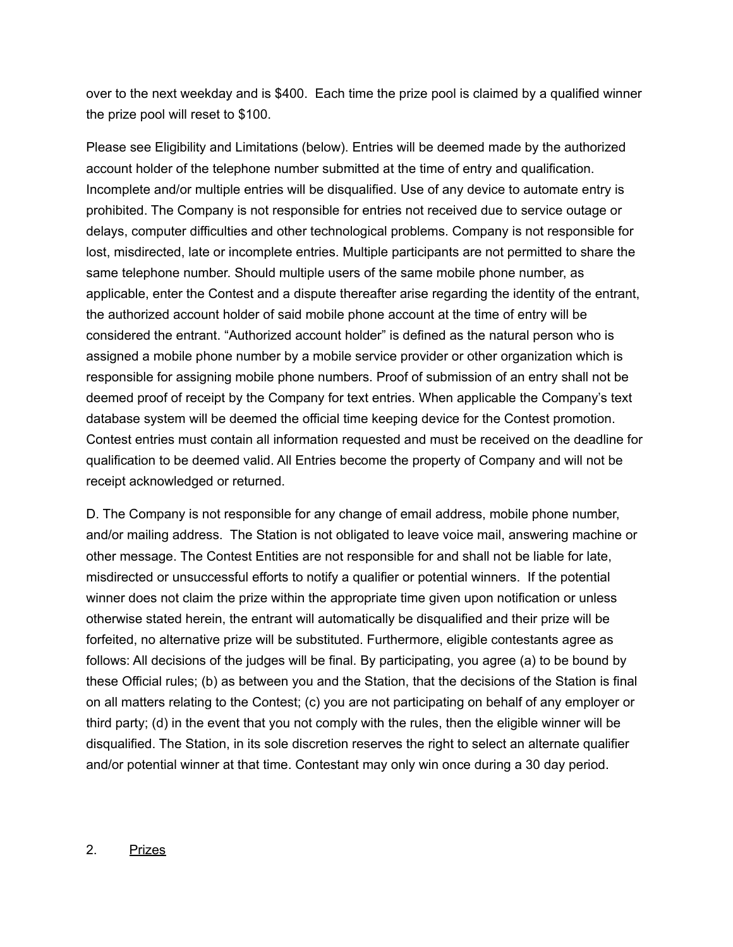over to the next weekday and is \$400. Each time the prize pool is claimed by a qualified winner the prize pool will reset to \$100.

Please see Eligibility and Limitations (below). Entries will be deemed made by the authorized account holder of the telephone number submitted at the time of entry and qualification. Incomplete and/or multiple entries will be disqualified. Use of any device to automate entry is prohibited. The Company is not responsible for entries not received due to service outage or delays, computer difficulties and other technological problems. Company is not responsible for lost, misdirected, late or incomplete entries. Multiple participants are not permitted to share the same telephone number. Should multiple users of the same mobile phone number, as applicable, enter the Contest and a dispute thereafter arise regarding the identity of the entrant, the authorized account holder of said mobile phone account at the time of entry will be considered the entrant. "Authorized account holder" is defined as the natural person who is assigned a mobile phone number by a mobile service provider or other organization which is responsible for assigning mobile phone numbers. Proof of submission of an entry shall not be deemed proof of receipt by the Company for text entries. When applicable the Company's text database system will be deemed the official time keeping device for the Contest promotion. Contest entries must contain all information requested and must be received on the deadline for qualification to be deemed valid. All Entries become the property of Company and will not be receipt acknowledged or returned.

D. The Company is not responsible for any change of email address, mobile phone number, and/or mailing address. The Station is not obligated to leave voice mail, answering machine or other message. The Contest Entities are not responsible for and shall not be liable for late, misdirected or unsuccessful efforts to notify a qualifier or potential winners. If the potential winner does not claim the prize within the appropriate time given upon notification or unless otherwise stated herein, the entrant will automatically be disqualified and their prize will be forfeited, no alternative prize will be substituted. Furthermore, eligible contestants agree as follows: All decisions of the judges will be final. By participating, you agree (a) to be bound by these Official rules; (b) as between you and the Station, that the decisions of the Station is final on all matters relating to the Contest; (c) you are not participating on behalf of any employer or third party; (d) in the event that you not comply with the rules, then the eligible winner will be disqualified. The Station, in its sole discretion reserves the right to select an alternate qualifier and/or potential winner at that time. Contestant may only win once during a 30 day period.

## 2. Prizes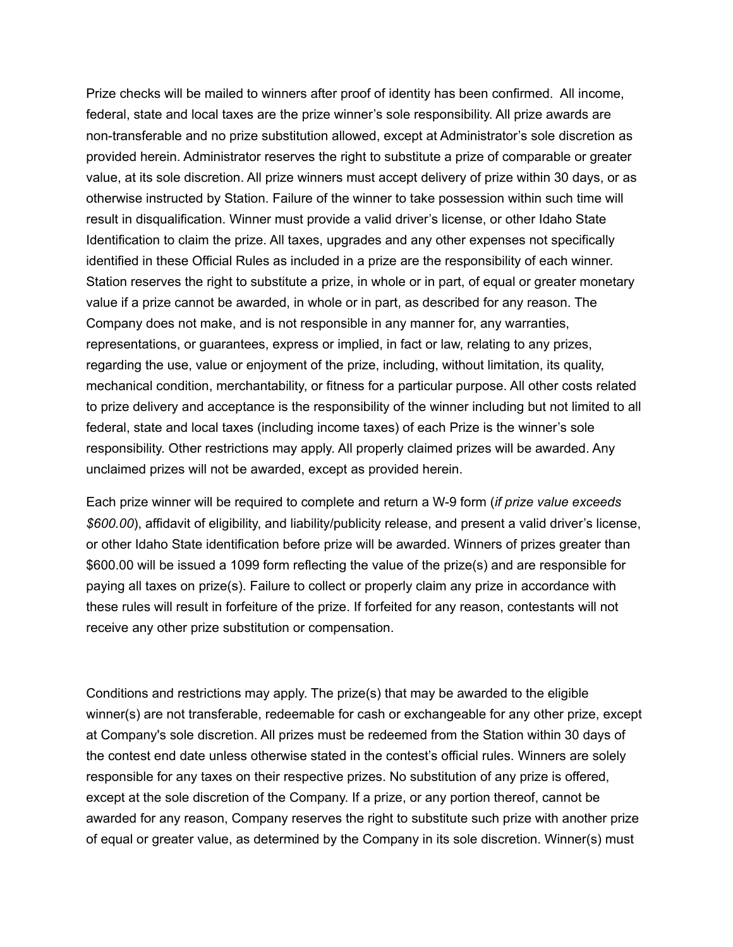Prize checks will be mailed to winners after proof of identity has been confirmed. All income, federal, state and local taxes are the prize winner's sole responsibility. All prize awards are non-transferable and no prize substitution allowed, except at Administrator's sole discretion as provided herein. Administrator reserves the right to substitute a prize of comparable or greater value, at its sole discretion. All prize winners must accept delivery of prize within 30 days, or as otherwise instructed by Station. Failure of the winner to take possession within such time will result in disqualification. Winner must provide a valid driver's license, or other Idaho State Identification to claim the prize. All taxes, upgrades and any other expenses not specifically identified in these Official Rules as included in a prize are the responsibility of each winner. Station reserves the right to substitute a prize, in whole or in part, of equal or greater monetary value if a prize cannot be awarded, in whole or in part, as described for any reason. The Company does not make, and is not responsible in any manner for, any warranties, representations, or guarantees, express or implied, in fact or law, relating to any prizes, regarding the use, value or enjoyment of the prize, including, without limitation, its quality, mechanical condition, merchantability, or fitness for a particular purpose. All other costs related to prize delivery and acceptance is the responsibility of the winner including but not limited to all federal, state and local taxes (including income taxes) of each Prize is the winner's sole responsibility. Other restrictions may apply. All properly claimed prizes will be awarded. Any unclaimed prizes will not be awarded, except as provided herein.

Each prize winner will be required to complete and return a W-9 form (*if prize value exceeds \$600.00*), affidavit of eligibility, and liability/publicity release, and present a valid driver's license, or other Idaho State identification before prize will be awarded. Winners of prizes greater than \$600.00 will be issued a 1099 form reflecting the value of the prize(s) and are responsible for paying all taxes on prize(s). Failure to collect or properly claim any prize in accordance with these rules will result in forfeiture of the prize. If forfeited for any reason, contestants will not receive any other prize substitution or compensation.

Conditions and restrictions may apply. The prize(s) that may be awarded to the eligible winner(s) are not transferable, redeemable for cash or exchangeable for any other prize, except at Company's sole discretion. All prizes must be redeemed from the Station within 30 days of the contest end date unless otherwise stated in the contest's official rules. Winners are solely responsible for any taxes on their respective prizes. No substitution of any prize is offered, except at the sole discretion of the Company. If a prize, or any portion thereof, cannot be awarded for any reason, Company reserves the right to substitute such prize with another prize of equal or greater value, as determined by the Company in its sole discretion. Winner(s) must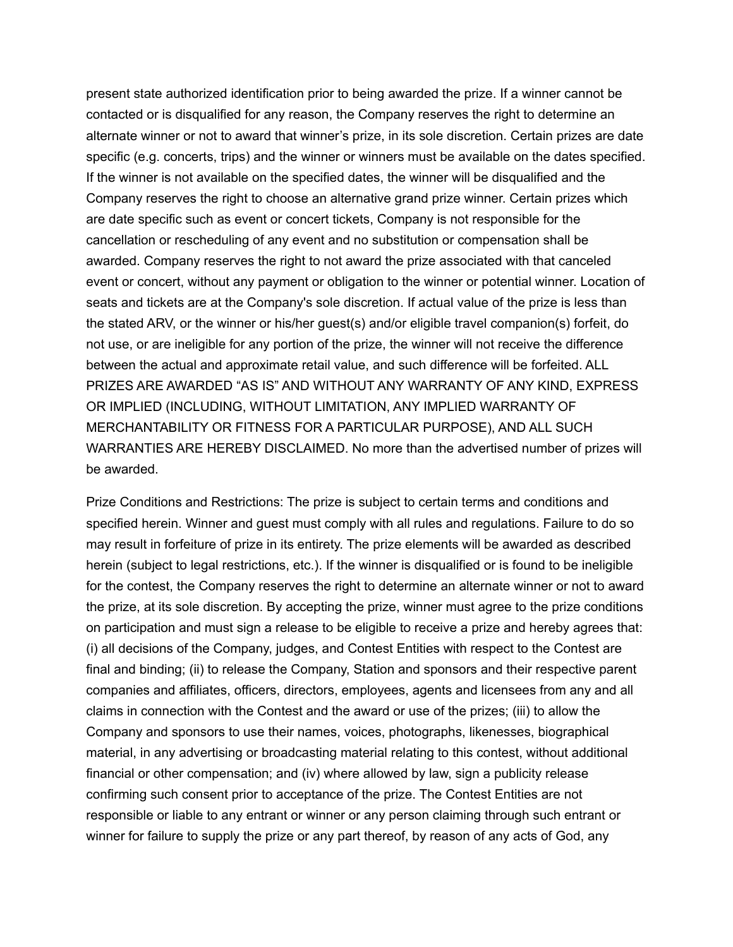present state authorized identification prior to being awarded the prize. If a winner cannot be contacted or is disqualified for any reason, the Company reserves the right to determine an alternate winner or not to award that winner's prize, in its sole discretion. Certain prizes are date specific (e.g. concerts, trips) and the winner or winners must be available on the dates specified. If the winner is not available on the specified dates, the winner will be disqualified and the Company reserves the right to choose an alternative grand prize winner. Certain prizes which are date specific such as event or concert tickets, Company is not responsible for the cancellation or rescheduling of any event and no substitution or compensation shall be awarded. Company reserves the right to not award the prize associated with that canceled event or concert, without any payment or obligation to the winner or potential winner. Location of seats and tickets are at the Company's sole discretion. If actual value of the prize is less than the stated ARV, or the winner or his/her guest(s) and/or eligible travel companion(s) forfeit, do not use, or are ineligible for any portion of the prize, the winner will not receive the difference between the actual and approximate retail value, and such difference will be forfeited. ALL PRIZES ARE AWARDED "AS IS" AND WITHOUT ANY WARRANTY OF ANY KIND, EXPRESS OR IMPLIED (INCLUDING, WITHOUT LIMITATION, ANY IMPLIED WARRANTY OF MERCHANTABILITY OR FITNESS FOR A PARTICULAR PURPOSE), AND ALL SUCH WARRANTIES ARE HEREBY DISCLAIMED. No more than the advertised number of prizes will be awarded.

Prize Conditions and Restrictions: The prize is subject to certain terms and conditions and specified herein. Winner and guest must comply with all rules and regulations. Failure to do so may result in forfeiture of prize in its entirety. The prize elements will be awarded as described herein (subject to legal restrictions, etc.). If the winner is disqualified or is found to be ineligible for the contest, the Company reserves the right to determine an alternate winner or not to award the prize, at its sole discretion. By accepting the prize, winner must agree to the prize conditions on participation and must sign a release to be eligible to receive a prize and hereby agrees that: (i) all decisions of the Company, judges, and Contest Entities with respect to the Contest are final and binding; (ii) to release the Company, Station and sponsors and their respective parent companies and affiliates, officers, directors, employees, agents and licensees from any and all claims in connection with the Contest and the award or use of the prizes; (iii) to allow the Company and sponsors to use their names, voices, photographs, likenesses, biographical material, in any advertising or broadcasting material relating to this contest, without additional financial or other compensation; and (iv) where allowed by law, sign a publicity release confirming such consent prior to acceptance of the prize. The Contest Entities are not responsible or liable to any entrant or winner or any person claiming through such entrant or winner for failure to supply the prize or any part thereof, by reason of any acts of God, any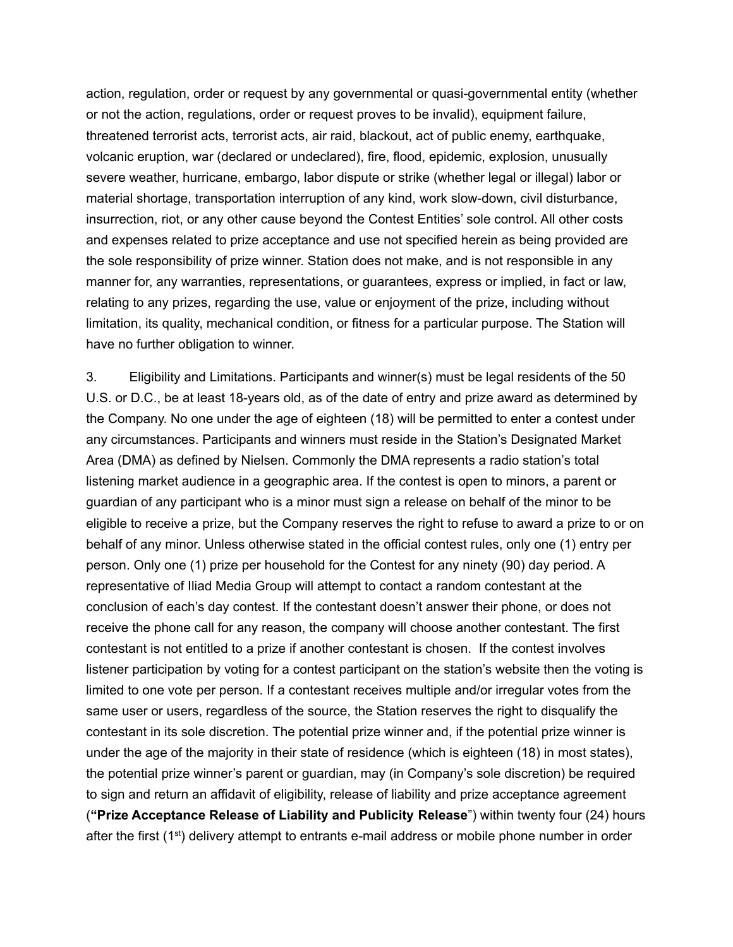action, regulation, order or request by any governmental or quasi-governmental entity (whether or not the action, regulations, order or request proves to be invalid), equipment failure, threatened terrorist acts, terrorist acts, air raid, blackout, act of public enemy, earthquake, volcanic eruption, war (declared or undeclared), fire, flood, epidemic, explosion, unusually severe weather, hurricane, embargo, labor dispute or strike (whether legal or illegal) labor or material shortage, transportation interruption of any kind, work slow-down, civil disturbance, insurrection, riot, or any other cause beyond the Contest Entities' sole control. All other costs and expenses related to prize acceptance and use not specified herein as being provided are the sole responsibility of prize winner. Station does not make, and is not responsible in any manner for, any warranties, representations, or guarantees, express or implied, in fact or law, relating to any prizes, regarding the use, value or enjoyment of the prize, including without limitation, its quality, mechanical condition, or fitness for a particular purpose. The Station will have no further obligation to winner.

3. Eligibility and Limitations. Participants and winner(s) must be legal residents of the 50 U.S. or D.C., be at least 18-years old, as of the date of entry and prize award as determined by the Company. No one under the age of eighteen (18) will be permitted to enter a contest under any circumstances. Participants and winners must reside in the Station's Designated Market Area (DMA) as defined by Nielsen. Commonly the DMA represents a radio station's total listening market audience in a geographic area. If the contest is open to minors, a parent or guardian of any participant who is a minor must sign a release on behalf of the minor to be eligible to receive a prize, but the Company reserves the right to refuse to award a prize to or on behalf of any minor. Unless otherwise stated in the official contest rules, only one (1) entry per person. Only one (1) prize per household for the Contest for any ninety (90) day period. A representative of Iliad Media Group will attempt to contact a random contestant at the conclusion of each's day contest. If the contestant doesn't answer their phone, or does not receive the phone call for any reason, the company will choose another contestant. The first contestant is not entitled to a prize if another contestant is chosen. If the contest involves listener participation by voting for a contest participant on the station's website then the voting is limited to one vote per person. If a contestant receives multiple and/or irregular votes from the same user or users, regardless of the source, the Station reserves the right to disqualify the contestant in its sole discretion. The potential prize winner and, if the potential prize winner is under the age of the majority in their state of residence (which is eighteen (18) in most states), the potential prize winner's parent or guardian, may (in Company's sole discretion) be required to sign and return an affidavit of eligibility, release of liability and prize acceptance agreement (**"Prize Acceptance Release of Liability and Publicity Release**") within twenty four (24) hours after the first (1<sup>st</sup>) delivery attempt to entrants e-mail address or mobile phone number in order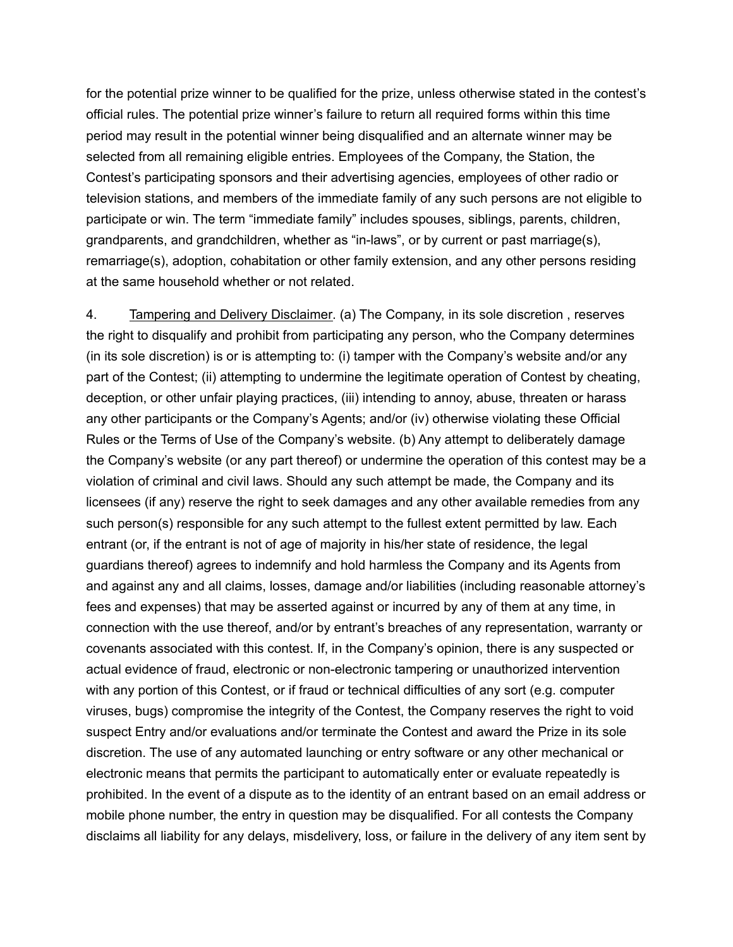for the potential prize winner to be qualified for the prize, unless otherwise stated in the contest's official rules. The potential prize winner's failure to return all required forms within this time period may result in the potential winner being disqualified and an alternate winner may be selected from all remaining eligible entries. Employees of the Company, the Station, the Contest's participating sponsors and their advertising agencies, employees of other radio or television stations, and members of the immediate family of any such persons are not eligible to participate or win. The term "immediate family" includes spouses, siblings, parents, children, grandparents, and grandchildren, whether as "in-laws", or by current or past marriage(s), remarriage(s), adoption, cohabitation or other family extension, and any other persons residing at the same household whether or not related.

4. Tampering and Delivery Disclaimer. (a) The Company, in its sole discretion , reserves the right to disqualify and prohibit from participating any person, who the Company determines (in its sole discretion) is or is attempting to: (i) tamper with the Company's website and/or any part of the Contest; (ii) attempting to undermine the legitimate operation of Contest by cheating, deception, or other unfair playing practices, (iii) intending to annoy, abuse, threaten or harass any other participants or the Company's Agents; and/or (iv) otherwise violating these Official Rules or the Terms of Use of the Company's website. (b) Any attempt to deliberately damage the Company's website (or any part thereof) or undermine the operation of this contest may be a violation of criminal and civil laws. Should any such attempt be made, the Company and its licensees (if any) reserve the right to seek damages and any other available remedies from any such person(s) responsible for any such attempt to the fullest extent permitted by law. Each entrant (or, if the entrant is not of age of majority in his/her state of residence, the legal guardians thereof) agrees to indemnify and hold harmless the Company and its Agents from and against any and all claims, losses, damage and/or liabilities (including reasonable attorney's fees and expenses) that may be asserted against or incurred by any of them at any time, in connection with the use thereof, and/or by entrant's breaches of any representation, warranty or covenants associated with this contest. If, in the Company's opinion, there is any suspected or actual evidence of fraud, electronic or non-electronic tampering or unauthorized intervention with any portion of this Contest, or if fraud or technical difficulties of any sort (e.g. computer viruses, bugs) compromise the integrity of the Contest, the Company reserves the right to void suspect Entry and/or evaluations and/or terminate the Contest and award the Prize in its sole discretion. The use of any automated launching or entry software or any other mechanical or electronic means that permits the participant to automatically enter or evaluate repeatedly is prohibited. In the event of a dispute as to the identity of an entrant based on an email address or mobile phone number, the entry in question may be disqualified. For all contests the Company disclaims all liability for any delays, misdelivery, loss, or failure in the delivery of any item sent by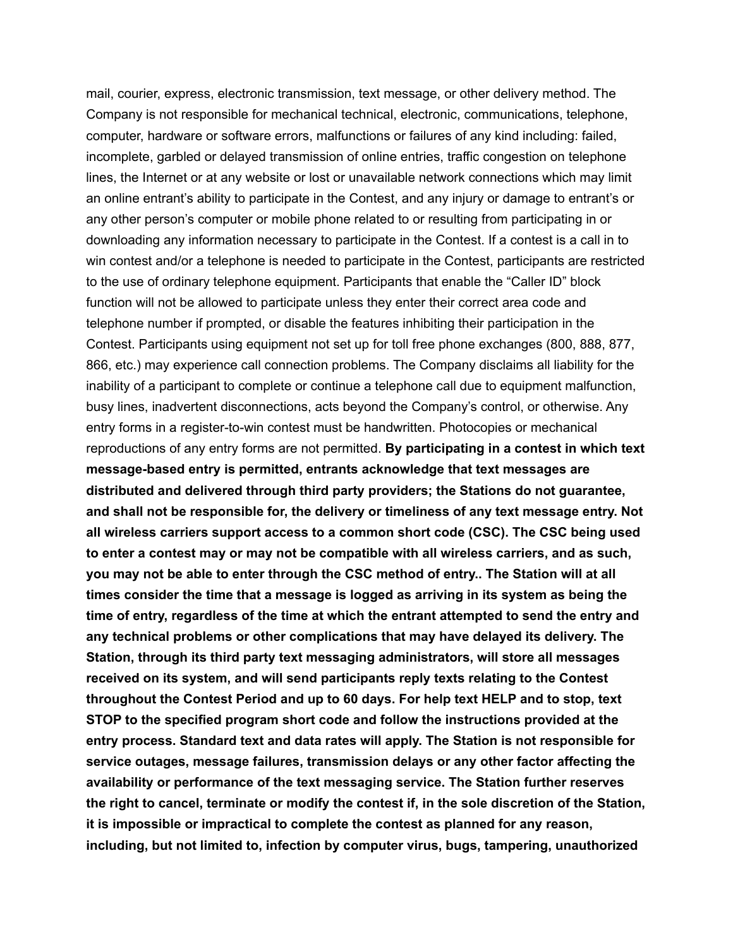mail, courier, express, electronic transmission, text message, or other delivery method. The Company is not responsible for mechanical technical, electronic, communications, telephone, computer, hardware or software errors, malfunctions or failures of any kind including: failed, incomplete, garbled or delayed transmission of online entries, traffic congestion on telephone lines, the Internet or at any website or lost or unavailable network connections which may limit an online entrant's ability to participate in the Contest, and any injury or damage to entrant's or any other person's computer or mobile phone related to or resulting from participating in or downloading any information necessary to participate in the Contest. If a contest is a call in to win contest and/or a telephone is needed to participate in the Contest, participants are restricted to the use of ordinary telephone equipment. Participants that enable the "Caller ID" block function will not be allowed to participate unless they enter their correct area code and telephone number if prompted, or disable the features inhibiting their participation in the Contest. Participants using equipment not set up for toll free phone exchanges (800, 888, 877, 866, etc.) may experience call connection problems. The Company disclaims all liability for the inability of a participant to complete or continue a telephone call due to equipment malfunction, busy lines, inadvertent disconnections, acts beyond the Company's control, or otherwise. Any entry forms in a register-to-win contest must be handwritten. Photocopies or mechanical reproductions of any entry forms are not permitted. **By participating in a contest in which text message-based entry is permitted, entrants acknowledge that text messages are distributed and delivered through third party providers; the Stations do not guarantee, and shall not be responsible for, the delivery or timeliness of any text message entry. Not all wireless carriers support access to a common short code (CSC). The CSC being used to enter a contest may or may not be compatible with all wireless carriers, and as such, you may not be able to enter through the CSC method of entry.. The Station will at all times consider the time that a message is logged as arriving in its system as being the time of entry, regardless of the time at which the entrant attempted to send the entry and any technical problems or other complications that may have delayed its delivery. The Station, through its third party text messaging administrators, will store all messages received on its system, and will send participants reply texts relating to the Contest throughout the Contest Period and up to 60 days. For help text HELP and to stop, text STOP to the specified program short code and follow the instructions provided at the entry process. Standard text and data rates will apply. The Station is not responsible for service outages, message failures, transmission delays or any other factor affecting the availability or performance of the text messaging service. The Station further reserves the right to cancel, terminate or modify the contest if, in the sole discretion of the Station, it is impossible or impractical to complete the contest as planned for any reason, including, but not limited to, infection by computer virus, bugs, tampering, unauthorized**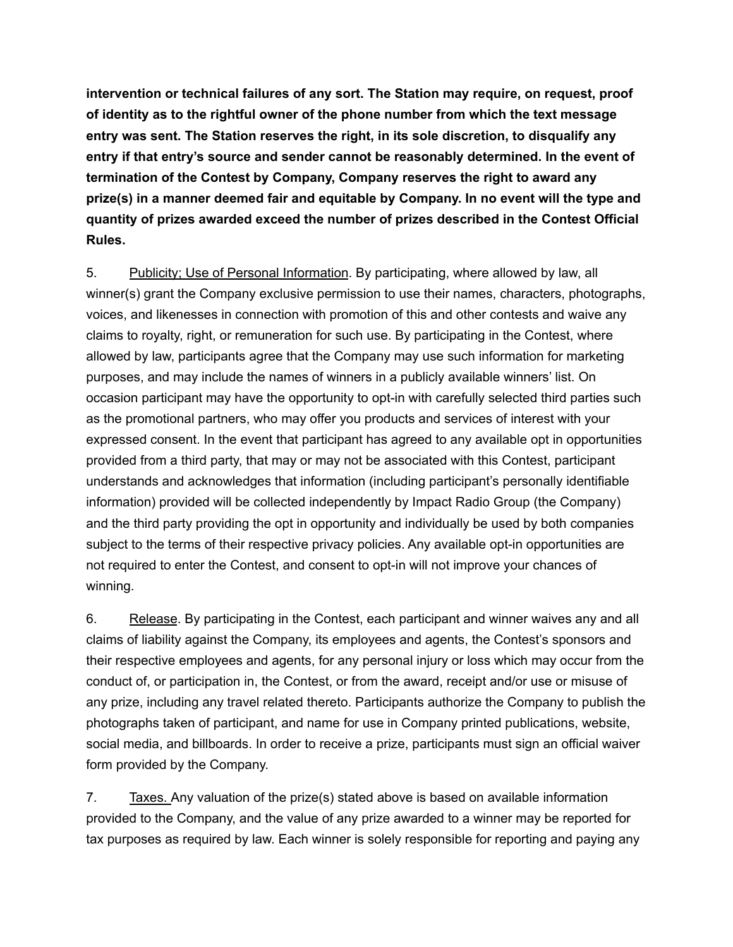**intervention or technical failures of any sort. The Station may require, on request, proof of identity as to the rightful owner of the phone number from which the text message entry was sent. The Station reserves the right, in its sole discretion, to disqualify any entry if that entry's source and sender cannot be reasonably determined. In the event of termination of the Contest by Company, Company reserves the right to award any prize(s) in a manner deemed fair and equitable by Company. In no event will the type and quantity of prizes awarded exceed the number of prizes described in the Contest Official Rules.**

5. Publicity; Use of Personal Information. By participating, where allowed by law, all winner(s) grant the Company exclusive permission to use their names, characters, photographs, voices, and likenesses in connection with promotion of this and other contests and waive any claims to royalty, right, or remuneration for such use. By participating in the Contest, where allowed by law, participants agree that the Company may use such information for marketing purposes, and may include the names of winners in a publicly available winners' list. On occasion participant may have the opportunity to opt-in with carefully selected third parties such as the promotional partners, who may offer you products and services of interest with your expressed consent. In the event that participant has agreed to any available opt in opportunities provided from a third party, that may or may not be associated with this Contest, participant understands and acknowledges that information (including participant's personally identifiable information) provided will be collected independently by Impact Radio Group (the Company) and the third party providing the opt in opportunity and individually be used by both companies subject to the terms of their respective privacy policies. Any available opt-in opportunities are not required to enter the Contest, and consent to opt-in will not improve your chances of winning.

6. Release. By participating in the Contest, each participant and winner waives any and all claims of liability against the Company, its employees and agents, the Contest's sponsors and their respective employees and agents, for any personal injury or loss which may occur from the conduct of, or participation in, the Contest, or from the award, receipt and/or use or misuse of any prize, including any travel related thereto. Participants authorize the Company to publish the photographs taken of participant, and name for use in Company printed publications, website, social media, and billboards. In order to receive a prize, participants must sign an official waiver form provided by the Company.

7. Taxes. Any valuation of the prize(s) stated above is based on available information provided to the Company, and the value of any prize awarded to a winner may be reported for tax purposes as required by law. Each winner is solely responsible for reporting and paying any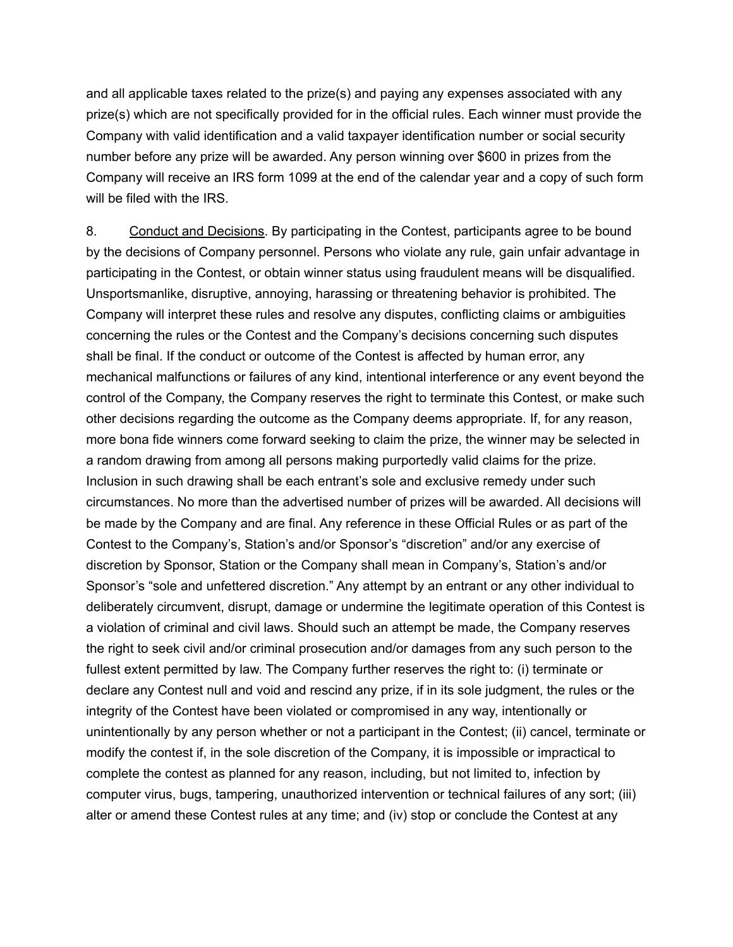and all applicable taxes related to the prize(s) and paying any expenses associated with any prize(s) which are not specifically provided for in the official rules. Each winner must provide the Company with valid identification and a valid taxpayer identification number or social security number before any prize will be awarded. Any person winning over \$600 in prizes from the Company will receive an IRS form 1099 at the end of the calendar year and a copy of such form will be filed with the IRS.

8. Conduct and Decisions. By participating in the Contest, participants agree to be bound by the decisions of Company personnel. Persons who violate any rule, gain unfair advantage in participating in the Contest, or obtain winner status using fraudulent means will be disqualified. Unsportsmanlike, disruptive, annoying, harassing or threatening behavior is prohibited. The Company will interpret these rules and resolve any disputes, conflicting claims or ambiguities concerning the rules or the Contest and the Company's decisions concerning such disputes shall be final. If the conduct or outcome of the Contest is affected by human error, any mechanical malfunctions or failures of any kind, intentional interference or any event beyond the control of the Company, the Company reserves the right to terminate this Contest, or make such other decisions regarding the outcome as the Company deems appropriate. If, for any reason, more bona fide winners come forward seeking to claim the prize, the winner may be selected in a random drawing from among all persons making purportedly valid claims for the prize. Inclusion in such drawing shall be each entrant's sole and exclusive remedy under such circumstances. No more than the advertised number of prizes will be awarded. All decisions will be made by the Company and are final. Any reference in these Official Rules or as part of the Contest to the Company's, Station's and/or Sponsor's "discretion" and/or any exercise of discretion by Sponsor, Station or the Company shall mean in Company's, Station's and/or Sponsor's "sole and unfettered discretion." Any attempt by an entrant or any other individual to deliberately circumvent, disrupt, damage or undermine the legitimate operation of this Contest is a violation of criminal and civil laws. Should such an attempt be made, the Company reserves the right to seek civil and/or criminal prosecution and/or damages from any such person to the fullest extent permitted by law. The Company further reserves the right to: (i) terminate or declare any Contest null and void and rescind any prize, if in its sole judgment, the rules or the integrity of the Contest have been violated or compromised in any way, intentionally or unintentionally by any person whether or not a participant in the Contest; (ii) cancel, terminate or modify the contest if, in the sole discretion of the Company, it is impossible or impractical to complete the contest as planned for any reason, including, but not limited to, infection by computer virus, bugs, tampering, unauthorized intervention or technical failures of any sort; (iii) alter or amend these Contest rules at any time; and (iv) stop or conclude the Contest at any